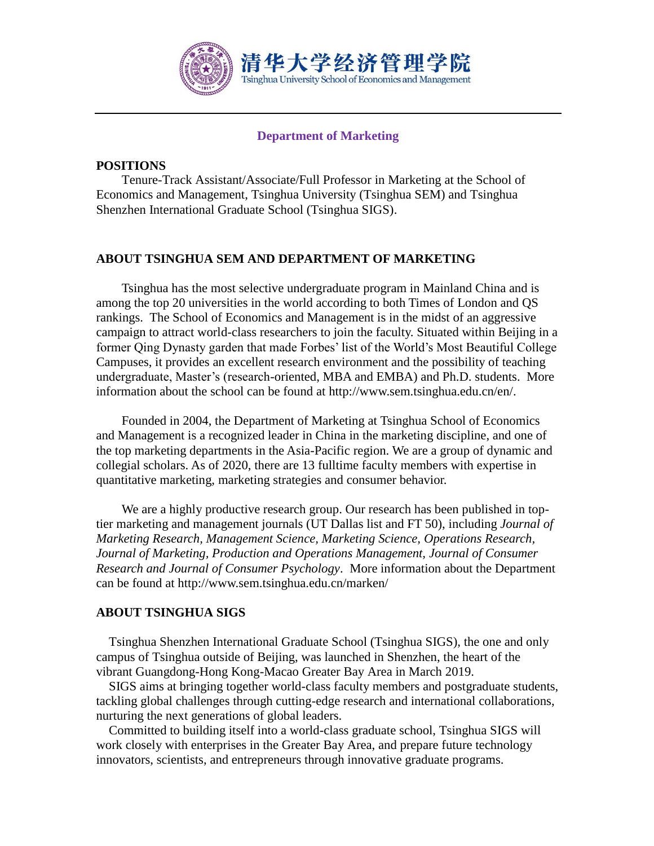

## **Department of Marketing**

#### **POSITIONS**

Tenure-Track Assistant/Associate/Full Professor in Marketing at the School of Economics and Management, Tsinghua University (Tsinghua SEM) and Tsinghua Shenzhen International Graduate School (Tsinghua SIGS).

## **ABOUT TSINGHUA SEM AND DEPARTMENT OF MARKETING**

Tsinghua has the most selective undergraduate program in Mainland China and is among the top 20 universities in the world according to both Times of London and QS rankings. The School of Economics and Management is in the midst of an aggressive campaign to attract world-class researchers to join the faculty. Situated within Beijing in a former Qing Dynasty garden that made Forbes' list of the World's Most Beautiful College Campuses, it provides an excellent research environment and the possibility of teaching undergraduate, Master's (research-oriented, MBA and EMBA) and Ph.D. students. More information about the school can be found at http://www.sem.tsinghua.edu.cn/en/.

Founded in 2004, the Department of Marketing at Tsinghua School of Economics and Management is a recognized leader in China in the marketing discipline, and one of the top marketing departments in the Asia-Pacific region. We are a group of dynamic and collegial scholars. As of 2020, there are 13 fulltime faculty members with expertise in quantitative marketing, marketing strategies and consumer behavior.

We are a highly productive research group. Our research has been published in toptier marketing and management journals (UT Dallas list and FT 50), including *Journal of Marketing Research, Management Science, Marketing Science, Operations Research, Journal of Marketing, Production and Operations Management, Journal of Consumer Research and Journal of Consumer Psychology*. More information about the Department can be found at http://www.sem.tsinghua.edu.cn/marken/

#### **ABOUT TSINGHUA SIGS**

Tsinghua Shenzhen International Graduate School (Tsinghua SIGS), the one and only campus of Tsinghua outside of Beijing, was launched in Shenzhen, the heart of the vibrant Guangdong-Hong Kong-Macao Greater Bay Area in March 2019.

SIGS aims at bringing together world-class faculty members and postgraduate students, tackling global challenges through cutting-edge research and international collaborations, nurturing the next generations of global leaders.

 Committed to building itself into a world-class graduate school, Tsinghua SIGS will work closely with enterprises in the Greater Bay Area, and prepare future technology innovators, scientists, and entrepreneurs through innovative graduate programs.